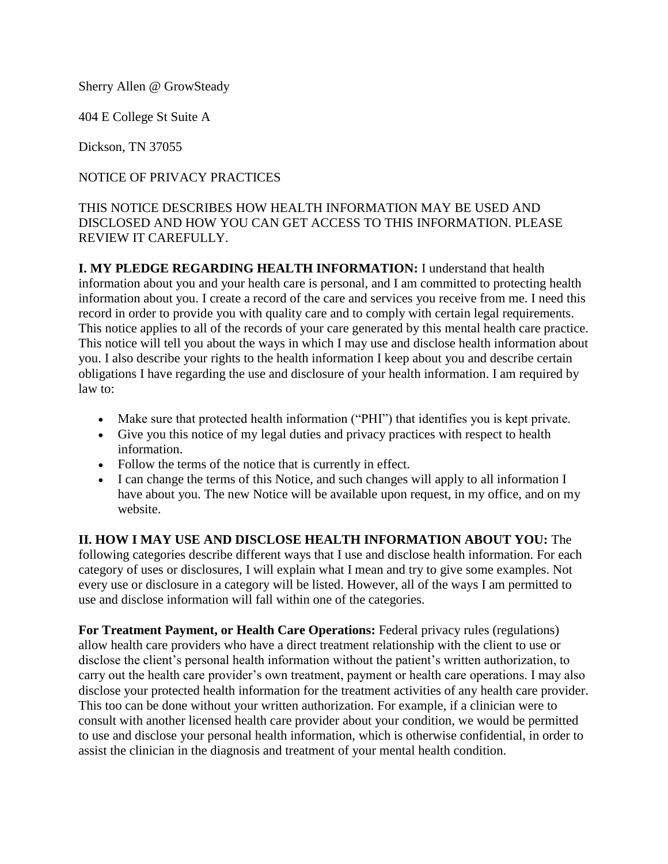Sherry Allen @ GrowSteady

404 E College St Suite A

Dickson, TN 37055

### NOTICE OF PRIVACY PRACTICES

## THIS NOTICE DESCRIBES HOW HEALTH INFORMATION MAY BE USED AND DISCLOSED AND HOW YOU CAN GET ACCESS TO THIS INFORMATION. PLEASE REVIEW IT CAREFULLY.

**I. MY PLEDGE REGARDING HEALTH INFORMATION:** I understand that health information about you and your health care is personal, and I am committed to protecting health information about you. I create a record of the care and services you receive from me. I need this record in order to provide you with quality care and to comply with certain legal requirements. This notice applies to all of the records of your care generated by this mental health care practice. This notice will tell you about the ways in which I may use and disclose health information about you. I also describe your rights to the health information I keep about you and describe certain obligations I have regarding the use and disclosure of your health information. I am required by law to:

- Make sure that protected health information ("PHI") that identifies you is kept private.
- Give you this notice of my legal duties and privacy practices with respect to health information.
- Follow the terms of the notice that is currently in effect.
- I can change the terms of this Notice, and such changes will apply to all information I have about you. The new Notice will be available upon request, in my office, and on my website.

**II. HOW I MAY USE AND DISCLOSE HEALTH INFORMATION ABOUT YOU:** The following categories describe different ways that I use and disclose health information. For each category of uses or disclosures, I will explain what I mean and try to give some examples. Not every use or disclosure in a category will be listed. However, all of the ways I am permitted to use and disclose information will fall within one of the categories.

**For Treatment Payment, or Health Care Operations:** Federal privacy rules (regulations) allow health care providers who have a direct treatment relationship with the client to use or disclose the client's personal health information without the patient's written authorization, to carry out the health care provider's own treatment, payment or health care operations. I may also disclose your protected health information for the treatment activities of any health care provider. This too can be done without your written authorization. For example, if a clinician were to consult with another licensed health care provider about your condition, we would be permitted to use and disclose your personal health information, which is otherwise confidential, in order to assist the clinician in the diagnosis and treatment of your mental health condition.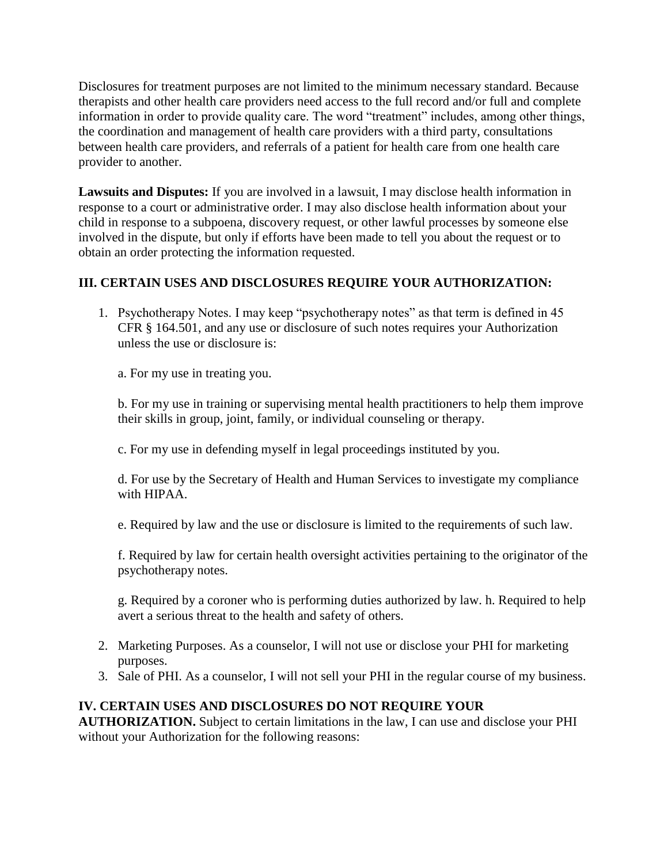Disclosures for treatment purposes are not limited to the minimum necessary standard. Because therapists and other health care providers need access to the full record and/or full and complete information in order to provide quality care. The word "treatment" includes, among other things, the coordination and management of health care providers with a third party, consultations between health care providers, and referrals of a patient for health care from one health care provider to another.

**Lawsuits and Disputes:** If you are involved in a lawsuit, I may disclose health information in response to a court or administrative order. I may also disclose health information about your child in response to a subpoena, discovery request, or other lawful processes by someone else involved in the dispute, but only if efforts have been made to tell you about the request or to obtain an order protecting the information requested.

# **III. CERTAIN USES AND DISCLOSURES REQUIRE YOUR AUTHORIZATION:**

1. Psychotherapy Notes. I may keep "psychotherapy notes" as that term is defined in 45 CFR § 164.501, and any use or disclosure of such notes requires your Authorization unless the use or disclosure is:

a. For my use in treating you.

b. For my use in training or supervising mental health practitioners to help them improve their skills in group, joint, family, or individual counseling or therapy.

c. For my use in defending myself in legal proceedings instituted by you.

d. For use by the Secretary of Health and Human Services to investigate my compliance with HIPAA.

e. Required by law and the use or disclosure is limited to the requirements of such law.

f. Required by law for certain health oversight activities pertaining to the originator of the psychotherapy notes.

g. Required by a coroner who is performing duties authorized by law. h. Required to help avert a serious threat to the health and safety of others.

- 2. Marketing Purposes. As a counselor, I will not use or disclose your PHI for marketing purposes.
- 3. Sale of PHI. As a counselor, I will not sell your PHI in the regular course of my business.

### **IV. CERTAIN USES AND DISCLOSURES DO NOT REQUIRE YOUR**

**AUTHORIZATION.** Subject to certain limitations in the law, I can use and disclose your PHI without your Authorization for the following reasons: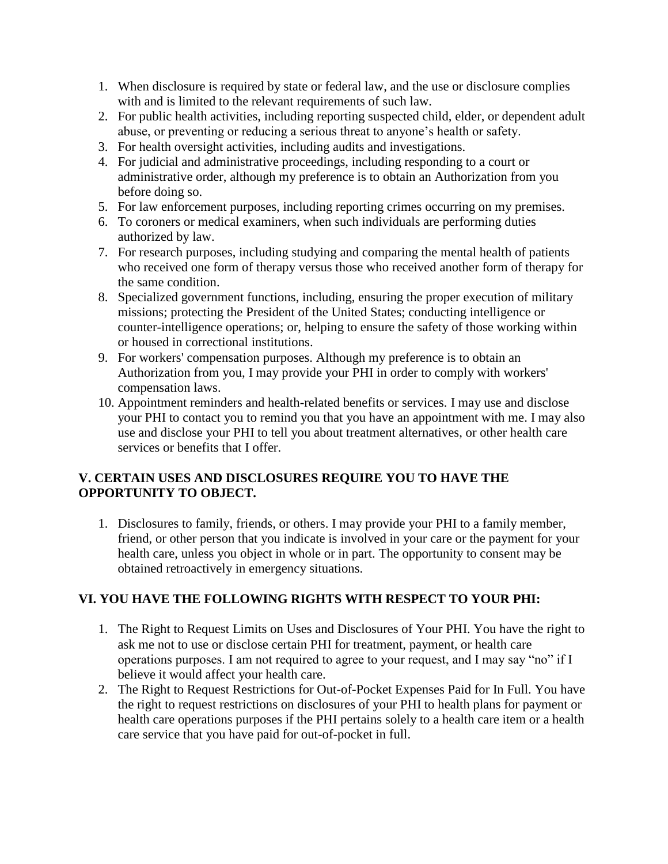- 1. When disclosure is required by state or federal law, and the use or disclosure complies with and is limited to the relevant requirements of such law.
- 2. For public health activities, including reporting suspected child, elder, or dependent adult abuse, or preventing or reducing a serious threat to anyone's health or safety.
- 3. For health oversight activities, including audits and investigations.
- 4. For judicial and administrative proceedings, including responding to a court or administrative order, although my preference is to obtain an Authorization from you before doing so.
- 5. For law enforcement purposes, including reporting crimes occurring on my premises.
- 6. To coroners or medical examiners, when such individuals are performing duties authorized by law.
- 7. For research purposes, including studying and comparing the mental health of patients who received one form of therapy versus those who received another form of therapy for the same condition.
- 8. Specialized government functions, including, ensuring the proper execution of military missions; protecting the President of the United States; conducting intelligence or counter-intelligence operations; or, helping to ensure the safety of those working within or housed in correctional institutions.
- 9. For workers' compensation purposes. Although my preference is to obtain an Authorization from you, I may provide your PHI in order to comply with workers' compensation laws.
- 10. Appointment reminders and health-related benefits or services. I may use and disclose your PHI to contact you to remind you that you have an appointment with me. I may also use and disclose your PHI to tell you about treatment alternatives, or other health care services or benefits that I offer.

### **V. CERTAIN USES AND DISCLOSURES REQUIRE YOU TO HAVE THE OPPORTUNITY TO OBJECT.**

1. Disclosures to family, friends, or others. I may provide your PHI to a family member, friend, or other person that you indicate is involved in your care or the payment for your health care, unless you object in whole or in part. The opportunity to consent may be obtained retroactively in emergency situations.

### **VI. YOU HAVE THE FOLLOWING RIGHTS WITH RESPECT TO YOUR PHI:**

- 1. The Right to Request Limits on Uses and Disclosures of Your PHI. You have the right to ask me not to use or disclose certain PHI for treatment, payment, or health care operations purposes. I am not required to agree to your request, and I may say "no" if I believe it would affect your health care.
- 2. The Right to Request Restrictions for Out-of-Pocket Expenses Paid for In Full. You have the right to request restrictions on disclosures of your PHI to health plans for payment or health care operations purposes if the PHI pertains solely to a health care item or a health care service that you have paid for out-of-pocket in full.